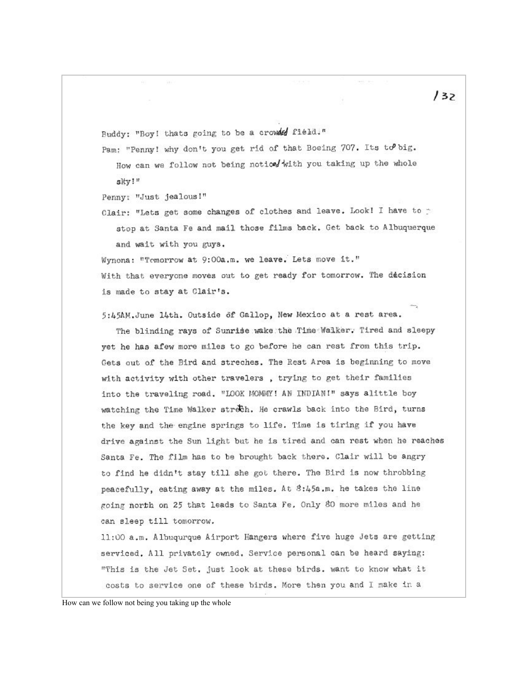Buddy: "Boy! thats going to be a crowled field."

Pam: "Penny! why don't you get rid of that Boeing 707. Its to big. How can we follow not being notice/ with you taking up the whole sky!"

Penny: "Just jealous!"

Clair: "Lets get some changes of clothes and leave. Look! I have to p stop at Santa Fe and mail those films back. Get back to Albuquerque and wait with you guys.

Wynona: "Tomorrow at 9:00a.m. we leave. Lets move it." With that everyone moves out to get ready for tomorrow. The decision is made to stay at Clair's.

5:45AM.June 14th. Outside of Gallop, New Mexico at a rest area.

The blinding rays of Sunrise wake the Time Walker. Tired and sleepy yet he has afew more miles to go before he can rest from this trip. Gets out of the Bird and streches. The Rest Area is beginning to move with activity with other travelers, trying to get their families into the traveling road. "LOOK MOMMY! AN INDIAN!" says alittle boy watching the Time Walker strech. He crawls back into the Bird, turns the key and the engine springs to life. Time is tiring if you have drive against the Sun light but he is tired and can rest when he reaches Santa Fe. The film has to be brought back there. Clair will be angry to find he didn't stay till she got there. The Bird is now throbbing peacefully, eating away at the miles. At 8:45a.m. he takes the line going north on 25 that leads to Santa Fe. Only 80 more miles and he can sleep till tomorrow.

11:00 a.m. Albuqurque Airport Hangers where five huge Jets are getting serviced. All privately owned. Service personal can be heard saying: "This is the Jet Set, just look at these birds. want to know what it costs to service one of these birds. More then you and I make in a

How can we follow not being you taking up the whole